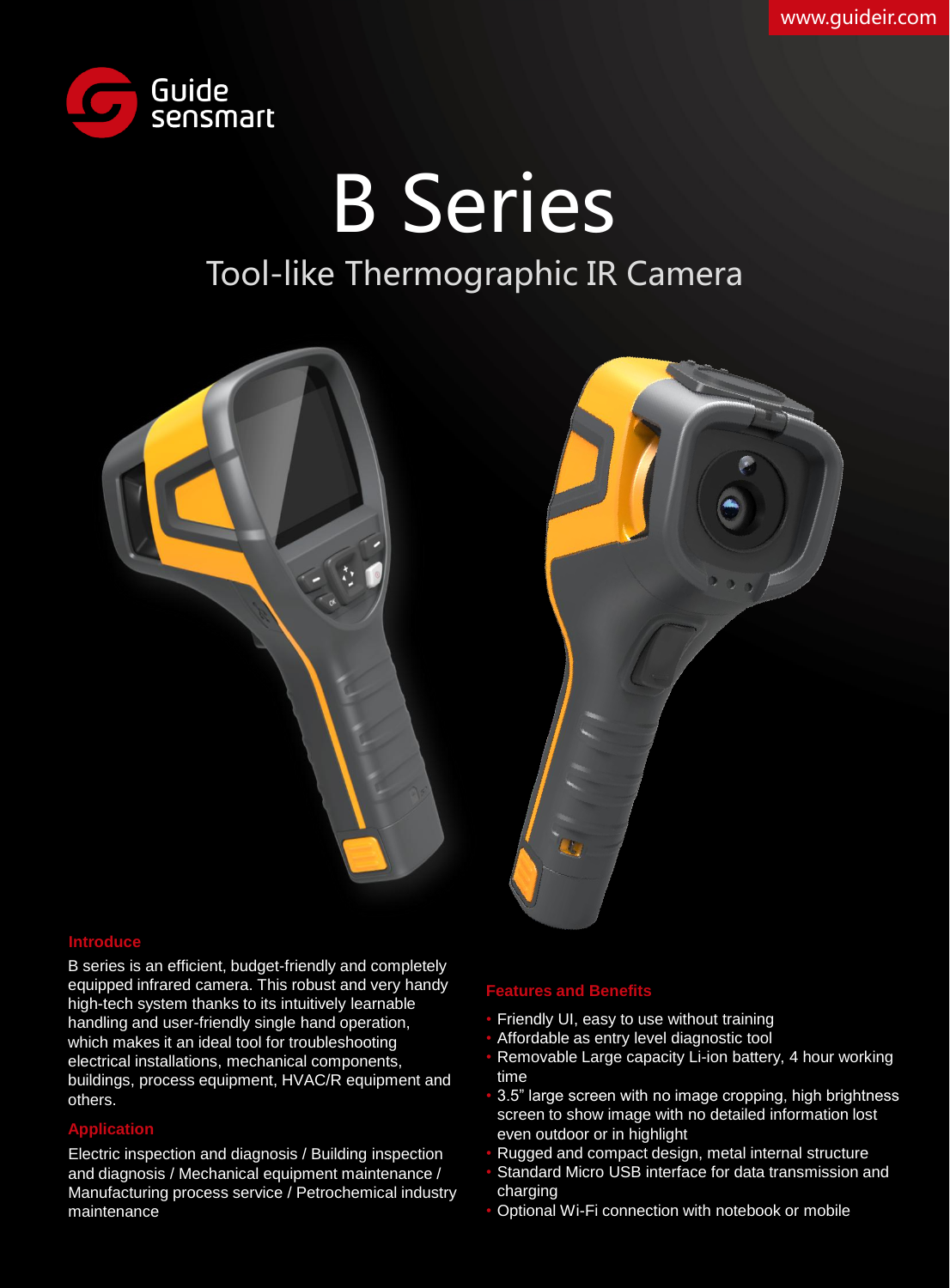

B Series Tool-like Thermographic IR Camera





## **Introduce**

B series is an efficient, budget-friendly and completely equipped infrared camera. This robust and very handy high-tech system thanks to its intuitively learnable handling and user-friendly single hand operation, which makes it an ideal tool for troubleshooting electrical installations, mechanical components, buildings, process equipment, HVAC/R equipment and others.

## **Application**

Electric inspection and diagnosis / Building inspection and diagnosis / Mechanical equipment maintenance / Manufacturing process service / Petrochemical industry maintenance

#### **Features and Benefits**

- Friendly UI, easy to use without training
- Affordable as entry level diagnostic tool
- Removable Large capacity Li-ion battery, 4 hour working time
- 3.5" large screen with no image cropping, high brightness screen to show image with no detailed information lost even outdoor or in highlight
- Rugged and compact design, metal internal structure
- Standard Micro USB interface for data transmission and charging
- Optional Wi-Fi connection with notebook or mobile